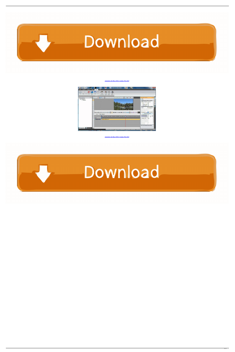

[Autodesk 3ds Max 2020.1 Update Win X64](https://goofy-newton-4cf1c9.netlify.app/Nightingale-Pro-6-Driver-For-Mac#aUZG=dmYacEH1eiZr2mGS2CLr2B0vxqqJn4bIBPDfiLrxyKbxDGeJlWi==)



[Autodesk 3ds Max 2020.1 Update Win X64](https://goofy-newton-4cf1c9.netlify.app/Nightingale-Pro-6-Driver-For-Mac#aUZG=dmYacEH1eiZr2mGS2CLr2B0vxqqJn4bIBPDfiLrxyKbxDGeJlWi==)